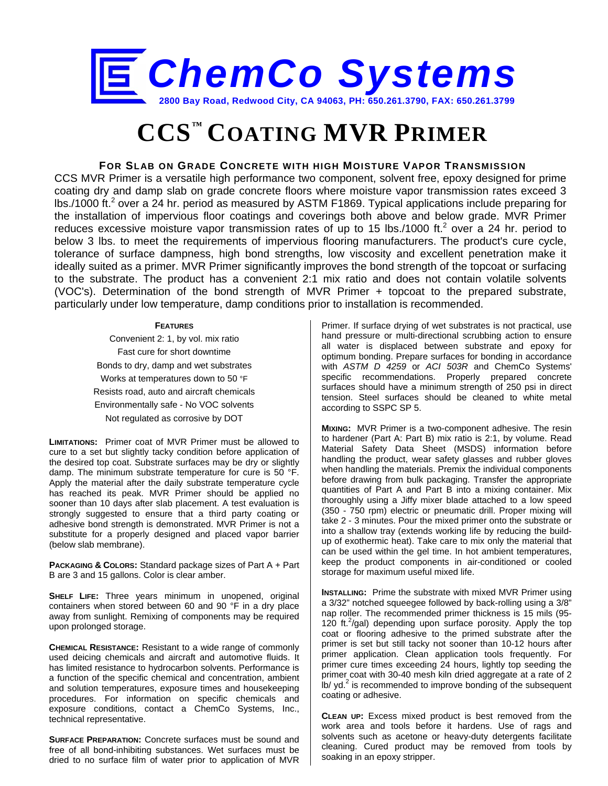

# **CCS™ COATING MVR PRIMER**

## **FOR SLAB ON GRADE CONCRETE WITH HIGH MOISTURE VAPOR TRANSMISSION**

CCS MVR Primer is a versatile high performance two component, solvent free, epoxy designed for prime coating dry and damp slab on grade concrete floors where moisture vapor transmission rates exceed 3 lbs./1000 ft.<sup>2</sup> over a 24 hr. period as measured by ASTM F1869. Typical applications include preparing for the installation of impervious floor coatings and coverings both above and below grade. MVR Primer reduces excessive moisture vapor transmission rates of up to 15 lbs./1000 ft.<sup>2</sup> over a 24 hr. period to below 3 lbs. to meet the requirements of impervious flooring manufacturers. The product's cure cycle, tolerance of surface dampness, high bond strengths, low viscosity and excellent penetration make it ideally suited as a primer. MVR Primer significantly improves the bond strength of the topcoat or surfacing to the substrate. The product has a convenient 2:1 mix ratio and does not contain volatile solvents (VOC's). Determination of the bond strength of MVR Primer + topcoat to the prepared substrate, particularly under low temperature, damp conditions prior to installation is recommended.

#### **FEATURES**

Convenient 2: 1, by vol. mix ratio Fast cure for short downtime Bonds to dry, damp and wet substrates Works at temperatures down to 50 °F Resists road, auto and aircraft chemicals Environmentally safe - No VOC solvents Not regulated as corrosive by DOT

**LIMITATIONS:** Primer coat of MVR Primer must be allowed to cure to a set but slightly tacky condition before application of the desired top coat. Substrate surfaces may be dry or slightly damp. The minimum substrate temperature for cure is 50 °F. Apply the material after the daily substrate temperature cycle has reached its peak. MVR Primer should be applied no sooner than 10 days after slab placement. A test evaluation is strongly suggested to ensure that a third party coating or adhesive bond strength is demonstrated. MVR Primer is not a substitute for a properly designed and placed vapor barrier (below slab membrane).

**PACKAGING & COLORS:** Standard package sizes of Part A + Part B are 3 and 15 gallons. Color is clear amber.

**SHELF LIFE:** Three years minimum in unopened, original containers when stored between 60 and 90 °F in a dry place away from sunlight. Remixing of components may be required upon prolonged storage.

**CHEMICAL RESISTANCE:** Resistant to a wide range of commonly used deicing chemicals and aircraft and automotive fluids. It has limited resistance to hydrocarbon solvents. Performance is a function of the specific chemical and concentration, ambient and solution temperatures, exposure times and housekeeping procedures. For information on specific chemicals and exposure conditions, contact a ChemCo Systems, Inc., technical representative.

**SURFACE PREPARATION:** Concrete surfaces must be sound and free of all bond-inhibiting substances. Wet surfaces must be dried to no surface film of water prior to application of MVR

Primer. If surface drying of wet substrates is not practical, use hand pressure or multi-directional scrubbing action to ensure all water is displaced between substrate and epoxy for optimum bonding. Prepare surfaces for bonding in accordance with *ASTM D 4259* or *ACI 503R* and ChemCo Systems' specific recommendations. Properly prepared concrete surfaces should have a minimum strength of 250 psi in direct tension. Steel surfaces should be cleaned to white metal according to SSPC SP 5.

**MIXING:** MVR Primer is a two-component adhesive. The resin to hardener (Part A: Part B) mix ratio is 2:1, by volume. Read Material Safety Data Sheet (MSDS) information before handling the product, wear safety glasses and rubber gloves when handling the materials. Premix the individual components before drawing from bulk packaging. Transfer the appropriate quantities of Part A and Part B into a mixing container. Mix thoroughly using a Jiffy mixer blade attached to a low speed (350 - 750 rpm) electric or pneumatic drill. Proper mixing will take 2 - 3 minutes. Pour the mixed primer onto the substrate or into a shallow tray (extends working life by reducing the buildup of exothermic heat). Take care to mix only the material that can be used within the gel time. In hot ambient temperatures, keep the product components in air-conditioned or cooled storage for maximum useful mixed life.

**INSTALLING:** Prime the substrate with mixed MVR Primer using a 3/32" notched squeegee followed by back-rolling using a 3/8" nap roller. The recommended primer thickness is 15 mils (95- 120 ft.<sup>2</sup>/gal) depending upon surface porosity. Apply the top coat or flooring adhesive to the primed substrate after the primer is set but still tacky not sooner than 10-12 hours after primer application. Clean application tools frequently. For primer cure times exceeding 24 hours, lightly top seeding the primer coat with 30-40 mesh kiln dried aggregate at a rate of 2  $lb$  yd.<sup>2</sup> is recommended to improve bonding of the subsequent coating or adhesive.

**CLEAN UP:** Excess mixed product is best removed from the work area and tools before it hardens. Use of rags and solvents such as acetone or heavy-duty detergents facilitate cleaning. Cured product may be removed from tools by soaking in an epoxy stripper.